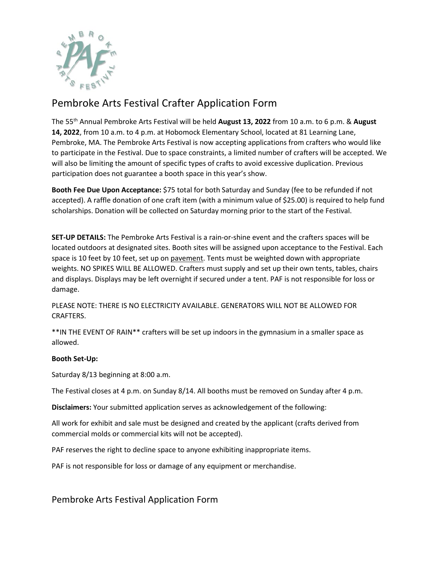

## Pembroke Arts Festival Crafter Application Form

The 55th Annual Pembroke Arts Festival will be held **August 13, 2022** from 10 a.m. to 6 p.m. & **August 14, 2022**, from 10 a.m. to 4 p.m. at Hobomock Elementary School, located at 81 Learning Lane, Pembroke, MA. The Pembroke Arts Festival is now accepting applications from crafters who would like to participate in the Festival. Due to space constraints, a limited number of crafters will be accepted. We will also be limiting the amount of specific types of crafts to avoid excessive duplication. Previous participation does not guarantee a booth space in this year's show.

**Booth Fee Due Upon Acceptance:** \$75 total for both Saturday and Sunday (fee to be refunded if not accepted). A raffle donation of one craft item (with a minimum value of \$25.00) is required to help fund scholarships. Donation will be collected on Saturday morning prior to the start of the Festival.

**SET-UP DETAILS:** The Pembroke Arts Festival is a rain-or-shine event and the crafters spaces will be located outdoors at designated sites. Booth sites will be assigned upon acceptance to the Festival. Each space is 10 feet by 10 feet, set up on pavement. Tents must be weighted down with appropriate weights. NO SPIKES WILL BE ALLOWED. Crafters must supply and set up their own tents, tables, chairs and displays. Displays may be left overnight if secured under a tent. PAF is not responsible for loss or damage.

PLEASE NOTE: THERE IS NO ELECTRICITY AVAILABLE. GENERATORS WILL NOT BE ALLOWED FOR CRAFTERS.

\*\*IN THE EVENT OF RAIN\*\* crafters will be set up indoors in the gymnasium in a smaller space as allowed.

## **Booth Set-Up:**

Saturday 8/13 beginning at 8:00 a.m.

The Festival closes at 4 p.m. on Sunday 8/14. All booths must be removed on Sunday after 4 p.m.

**Disclaimers:** Your submitted application serves as acknowledgement of the following:

All work for exhibit and sale must be designed and created by the applicant (crafts derived from commercial molds or commercial kits will not be accepted).

PAF reserves the right to decline space to anyone exhibiting inappropriate items.

PAF is not responsible for loss or damage of any equipment or merchandise.

Pembroke Arts Festival Application Form